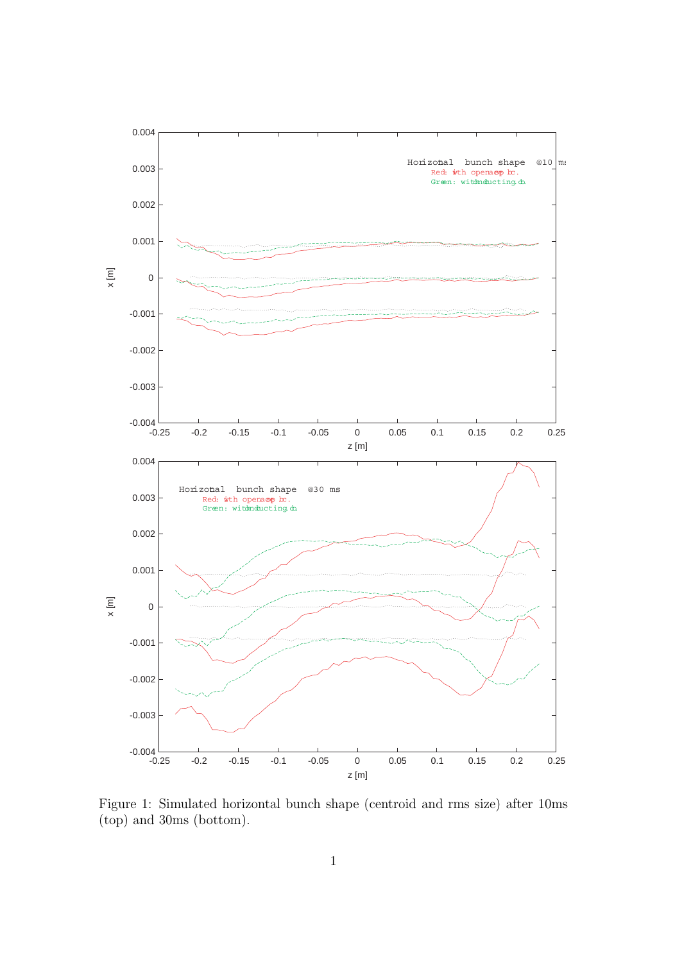

Figure 1: Simulated horizontal bunch shape (centroid and rms size) after 10ms (top) and 30ms (bottom).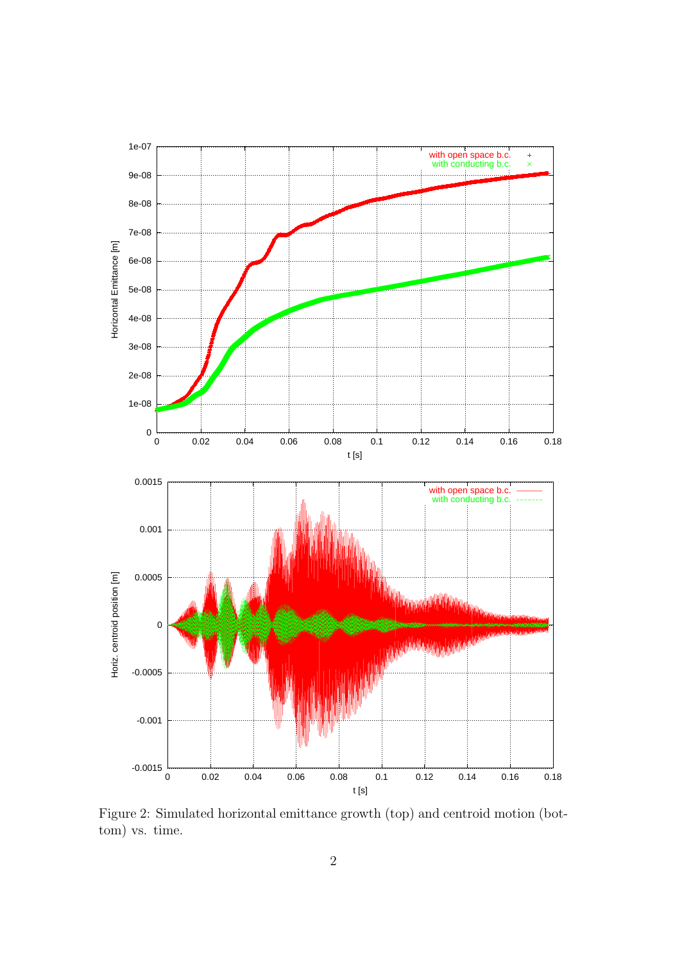

Figure 2: Simulated horizontal emittance growth (top) and centroid motion (bottom) vs. time.